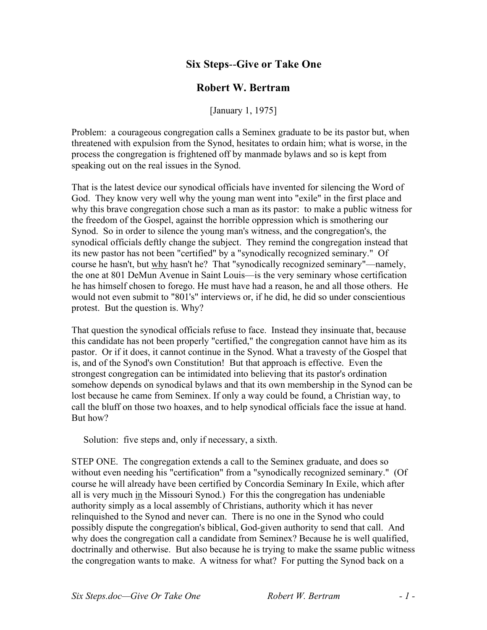## **Six Steps**--**Give or Take One**

## **Robert W. Bertram**

[January 1, 1975]

Problem: a courageous congregation calls a Seminex graduate to be its pastor but, when threatened with expulsion from the Synod, hesitates to ordain him; what is worse, in the process the congregation is frightened off by manmade bylaws and so is kept from speaking out on the real issues in the Synod.

That is the latest device our synodical officials have invented for silencing the Word of God. They know very well why the young man went into "exile" in the first place and why this brave congregation chose such a man as its pastor: to make a public witness for the freedom of the Gospel, against the horrible oppression which is smothering our Synod. So in order to silence the young man's witness, and the congregation's, the synodical officials deftly change the subject. They remind the congregation instead that its new pastor has not been "certified" by a "synodically recognized seminary." Of course he hasn't, but why hasn't he? That "synodically recognized seminary"—namely, the one at 801 DeMun Avenue in Saint Louis—is the very seminary whose certification he has himself chosen to forego. He must have had a reason, he and all those others. He would not even submit to "801's" interviews or, if he did, he did so under conscientious protest. But the question is. Why?

That question the synodical officials refuse to face. Instead they insinuate that, because this candidate has not been properly "certified," the congregation cannot have him as its pastor. Or if it does, it cannot continue in the Synod. What a travesty of the Gospel that is, and of the Synod's own Constitution! But that approach is effective. Even the strongest congregation can be intimidated into believing that its pastor's ordination somehow depends on synodical bylaws and that its own membership in the Synod can be lost because he came from Seminex. If only a way could be found, a Christian way, to call the bluff on those two hoaxes, and to help synodical officials face the issue at hand. But how?

Solution: five steps and, only if necessary, a sixth.

STEP ONE. The congregation extends a call to the Seminex graduate, and does so without even needing his "certification" from a "synodically recognized seminary." (Of course he will already have been certified by Concordia Seminary In Exile, which after all is very much in the Missouri Synod.) For this the congregation has undeniable authority simply as a local assembly of Christians, authority which it has never relinquished to the Synod and never can. There is no one in the Synod who could possibly dispute the congregation's biblical, God-given authority to send that call. And why does the congregation call a candidate from Seminex? Because he is well qualified, doctrinally and otherwise. But also because he is trying to make the ssame public witness the congregation wants to make. A witness for what? For putting the Synod back on a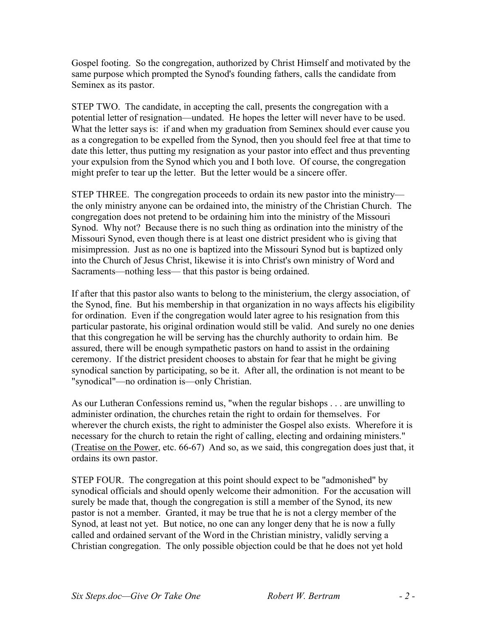Gospel footing. So the congregation, authorized by Christ Himself and motivated by the same purpose which prompted the Synod's founding fathers, calls the candidate from Seminex as its pastor.

STEP TWO. The candidate, in accepting the call, presents the congregation with a potential letter of resignation—undated. He hopes the letter will never have to be used. What the letter says is: if and when my graduation from Seminex should ever cause you as a congregation to be expelled from the Synod, then you should feel free at that time to date this letter, thus putting my resignation as your pastor into effect and thus preventing your expulsion from the Synod which you and I both love. Of course, the congregation might prefer to tear up the letter. But the letter would be a sincere offer.

STEP THREE. The congregation proceeds to ordain its new pastor into the ministry the only ministry anyone can be ordained into, the ministry of the Christian Church. The congregation does not pretend to be ordaining him into the ministry of the Missouri Synod. Why not? Because there is no such thing as ordination into the ministry of the Missouri Synod, even though there is at least one district president who is giving that misimpression. Just as no one is baptized into the Missouri Synod but is baptized only into the Church of Jesus Christ, likewise it is into Christ's own ministry of Word and Sacraments—nothing less— that this pastor is being ordained.

If after that this pastor also wants to belong to the ministerium, the clergy association, of the Synod, fine. But his membership in that organization in no ways affects his eligibility for ordination. Even if the congregation would later agree to his resignation from this particular pastorate, his original ordination would still be valid. And surely no one denies that this congregation he will be serving has the churchly authority to ordain him. Be assured, there will be enough sympathetic pastors on hand to assist in the ordaining ceremony. If the district president chooses to abstain for fear that he might be giving synodical sanction by participating, so be it. After all, the ordination is not meant to be "synodical"—no ordination is—only Christian.

As our Lutheran Confessions remind us, "when the regular bishops . . . are unwilling to administer ordination, the churches retain the right to ordain for themselves. For wherever the church exists, the right to administer the Gospel also exists. Wherefore it is necessary for the church to retain the right of calling, electing and ordaining ministers." (Treatise on the Power, etc. 66-67) And so, as we said, this congregation does just that, it ordains its own pastor.

STEP FOUR. The congregation at this point should expect to be "admonished" by synodical officials and should openly welcome their admonition. For the accusation will surely be made that, though the congregation is still a member of the Synod, its new pastor is not a member. Granted, it may be true that he is not a clergy member of the Synod, at least not yet. But notice, no one can any longer deny that he is now a fully called and ordained servant of the Word in the Christian ministry, validly serving a Christian congregation. The only possible objection could be that he does not yet hold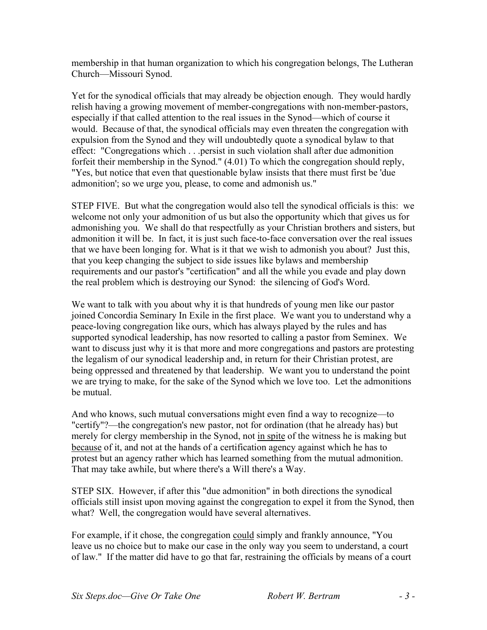membership in that human organization to which his congregation belongs, The Lutheran Church—Missouri Synod.

Yet for the synodical officials that may already be objection enough. They would hardly relish having a growing movement of member-congregations with non-member-pastors, especially if that called attention to the real issues in the Synod—which of course it would. Because of that, the synodical officials may even threaten the congregation with expulsion from the Synod and they will undoubtedly quote a synodical bylaw to that effect: "Congregations which . . .persist in such violation shall after due admonition forfeit their membership in the Synod." (4.01) To which the congregation should reply, "Yes, but notice that even that questionable bylaw insists that there must first be 'due admonition'; so we urge you, please, to come and admonish us."

STEP FIVE. But what the congregation would also tell the synodical officials is this: we welcome not only your admonition of us but also the opportunity which that gives us for admonishing you. We shall do that respectfully as your Christian brothers and sisters, but admonition it will be. In fact, it is just such face-to-face conversation over the real issues that we have been longing for. What is it that we wish to admonish you about? Just this, that you keep changing the subject to side issues like bylaws and membership requirements and our pastor's "certification" and all the while you evade and play down the real problem which is destroying our Synod: the silencing of God's Word.

We want to talk with you about why it is that hundreds of young men like our pastor joined Concordia Seminary In Exile in the first place. We want you to understand why a peace-loving congregation like ours, which has always played by the rules and has supported synodical leadership, has now resorted to calling a pastor from Seminex. We want to discuss just why it is that more and more congregations and pastors are protesting the legalism of our synodical leadership and, in return for their Christian protest, are being oppressed and threatened by that leadership. We want you to understand the point we are trying to make, for the sake of the Synod which we love too. Let the admonitions be mutual.

And who knows, such mutual conversations might even find a way to recognize—to "certify"?—the congregation's new pastor, not for ordination (that he already has) but merely for clergy membership in the Synod, not in spite of the witness he is making but because of it, and not at the hands of a certification agency against which he has to protest but an agency rather which has learned something from the mutual admonition. That may take awhile, but where there's a Will there's a Way.

STEP SIX. However, if after this "due admonition" in both directions the synodical officials still insist upon moving against the congregation to expel it from the Synod, then what? Well, the congregation would have several alternatives.

For example, if it chose, the congregation could simply and frankly announce, "You leave us no choice but to make our case in the only way you seem to understand, a court of law." If the matter did have to go that far, restraining the officials by means of a court